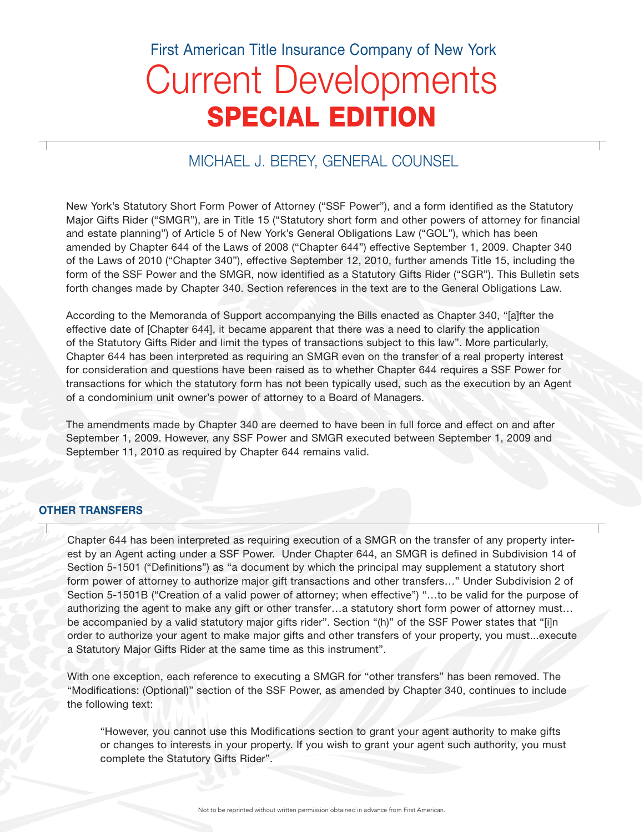# Current Developments SPECIAL EDITION First American Title Insurance Company of New York

## MICHAEL J. BEREY, GENERAL COUNSEL

New York's Statutory Short Form Power of Attorney ("SSF Power"), and a form identified as the Statutory Major Gifts Rider ("SMGR"), are in Title 15 ("Statutory short form and other powers of attorney for financial and estate planning") of Article 5 of New York's General Obligations Law ("GOL"), which has been amended by Chapter 644 of the Laws of 2008 ("Chapter 644") effective September 1, 2009. Chapter 340 of the Laws of 2010 ("Chapter 340"), effective September 12, 2010, further amends Title 15, including the form of the SSF Power and the SMGR, now identified as a Statutory Gifts Rider ("SGR"). This Bulletin sets forth changes made by Chapter 340. Section references in the text are to the General Obligations Law.

According to the Memoranda of Support accompanying the Bills enacted as Chapter 340, "[a]fter the effective date of [Chapter 644], it became apparent that there was a need to clarify the application of the Statutory Gifts Rider and limit the types of transactions subject to this law". More particularly, Chapter 644 has been interpreted as requiring an SMGR even on the transfer of a real property interest for consideration and questions have been raised as to whether Chapter 644 requires a SSF Power for transactions for which the statutory form has not been typically used, such as the execution by an Agent of a condominium unit owner's power of attorney to a Board of Managers.

The amendments made by Chapter 340 are deemed to have been in full force and effect on and after September 1, 2009. However, any SSF Power and SMGR executed between September 1, 2009 and September 11, 2010 as required by Chapter 644 remains valid.

#### OTHER TRANSFERS

Chapter 644 has been interpreted as requiring execution of a SMGR on the transfer of any property interest by an Agent acting under a SSF Power. Under Chapter 644, an SMGR is defined in Subdivision 14 of Section 5-1501 ("Definitions") as "a document by which the principal may supplement a statutory short form power of attorney to authorize major gift transactions and other transfers…" Under Subdivision 2 of Section 5-1501B ("Creation of a valid power of attorney; when effective") "…to be valid for the purpose of authorizing the agent to make any gift or other transfer…a statutory short form power of attorney must… be accompanied by a valid statutory major gifts rider". Section "(h)" of the SSF Power states that "[i]n order to authorize your agent to make major gifts and other transfers of your property, you must...execute a Statutory Major Gifts Rider at the same time as this instrument".

With one exception, each reference to executing a SMGR for "other transfers" has been removed. The "Modifications: (Optional)" section of the SSF Power, as amended by Chapter 340, continues to include the following text:

"However, you cannot use this Modifications section to grant your agent authority to make gifts or changes to interests in your property. If you wish to grant your agent such authority, you must complete the Statutory Gifts Rider".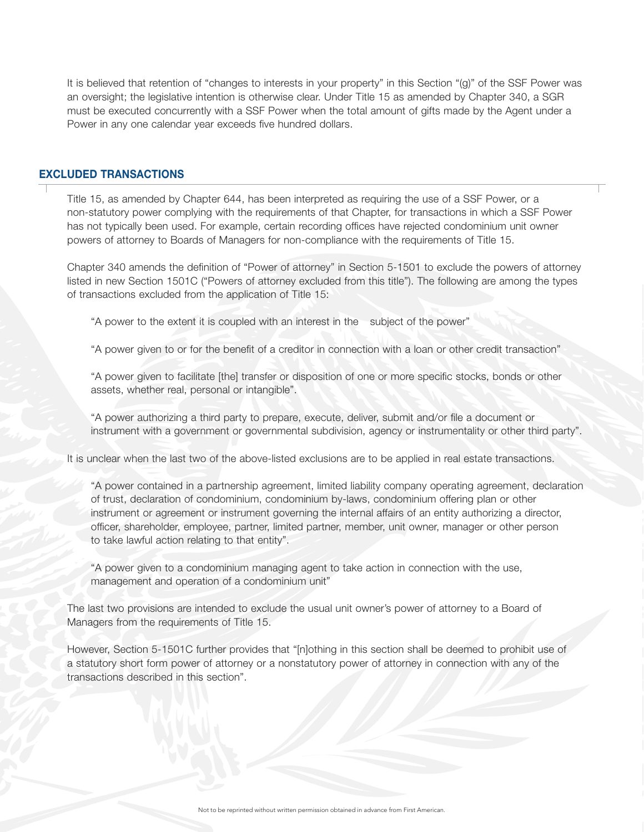It is believed that retention of "changes to interests in your property" in this Section "(g)" of the SSF Power was an oversight; the legislative intention is otherwise clear. Under Title 15 as amended by Chapter 340, a SGR must be executed concurrently with a SSF Power when the total amount of gifts made by the Agent under a Power in any one calendar year exceeds five hundred dollars.

#### EXCLUDED TRANSACTIONS

Title 15, as amended by Chapter 644, has been interpreted as requiring the use of a SSF Power, or a non-statutory power complying with the requirements of that Chapter, for transactions in which a SSF Power has not typically been used. For example, certain recording offices have rejected condominium unit owner powers of attorney to Boards of Managers for non-compliance with the requirements of Title 15.

Chapter 340 amends the definition of "Power of attorney" in Section 5-1501 to exclude the powers of attorney listed in new Section 1501C ("Powers of attorney excluded from this title"). The following are among the types of transactions excluded from the application of Title 15:

"A power to the extent it is coupled with an interest in the subject of the power"

"A power given to or for the benefit of a creditor in connection with a loan or other credit transaction"

"A power given to facilitate [the] transfer or disposition of one or more specific stocks, bonds or other assets, whether real, personal or intangible".

"A power authorizing a third party to prepare, execute, deliver, submit and/or file a document or instrument with a government or governmental subdivision, agency or instrumentality or other third party".

It is unclear when the last two of the above-listed exclusions are to be applied in real estate transactions.

"A power contained in a partnership agreement, limited liability company operating agreement, declaration of trust, declaration of condominium, condominium by-laws, condominium offering plan or other instrument or agreement or instrument governing the internal affairs of an entity authorizing a director, officer, shareholder, employee, partner, limited partner, member, unit owner, manager or other person to take lawful action relating to that entity".

"A power given to a condominium managing agent to take action in connection with the use, management and operation of a condominium unit"

The last two provisions are intended to exclude the usual unit owner's power of attorney to a Board of Managers from the requirements of Title 15.

However, Section 5-1501C further provides that "[n]othing in this section shall be deemed to prohibit use of a statutory short form power of attorney or a nonstatutory power of attorney in connection with any of the transactions described in this section".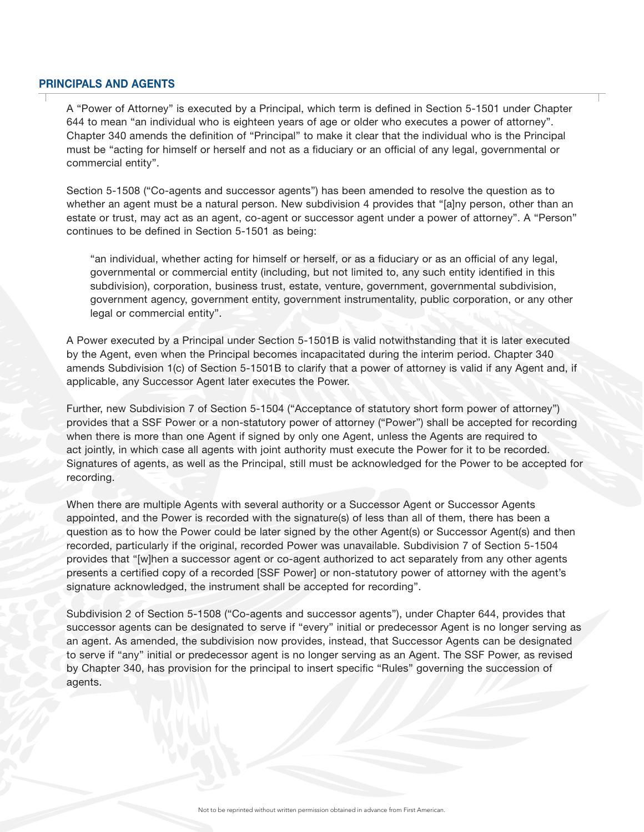#### PRINCIPALS AND AGENTS

A "Power of Attorney" is executed by a Principal, which term is defined in Section 5-1501 under Chapter 644 to mean "an individual who is eighteen years of age or older who executes a power of attorney". Chapter 340 amends the definition of "Principal" to make it clear that the individual who is the Principal must be "acting for himself or herself and not as a fiduciary or an official of any legal, governmental or commercial entity".

Section 5-1508 ("Co-agents and successor agents") has been amended to resolve the question as to whether an agent must be a natural person. New subdivision 4 provides that "[a]ny person, other than an estate or trust, may act as an agent, co-agent or successor agent under a power of attorney". A "Person" continues to be defined in Section 5-1501 as being:

"an individual, whether acting for himself or herself, or as a fiduciary or as an official of any legal, governmental or commercial entity (including, but not limited to, any such entity identified in this subdivision), corporation, business trust, estate, venture, government, governmental subdivision, government agency, government entity, government instrumentality, public corporation, or any other legal or commercial entity".

A Power executed by a Principal under Section 5-1501B is valid notwithstanding that it is later executed by the Agent, even when the Principal becomes incapacitated during the interim period. Chapter 340 amends Subdivision 1(c) of Section 5-1501B to clarify that a power of attorney is valid if any Agent and, if applicable, any Successor Agent later executes the Power.

Further, new Subdivision 7 of Section 5-1504 ("Acceptance of statutory short form power of attorney") provides that a SSF Power or a non-statutory power of attorney ("Power") shall be accepted for recording when there is more than one Agent if signed by only one Agent, unless the Agents are required to act jointly, in which case all agents with joint authority must execute the Power for it to be recorded. Signatures of agents, as well as the Principal, still must be acknowledged for the Power to be accepted for recording.

When there are multiple Agents with several authority or a Successor Agent or Successor Agents appointed, and the Power is recorded with the signature(s) of less than all of them, there has been a question as to how the Power could be later signed by the other Agent(s) or Successor Agent(s) and then recorded, particularly if the original, recorded Power was unavailable. Subdivision 7 of Section 5-1504 provides that "[w]hen a successor agent or co-agent authorized to act separately from any other agents presents a certified copy of a recorded [SSF Power] or non-statutory power of attorney with the agent's signature acknowledged, the instrument shall be accepted for recording".

Subdivision 2 of Section 5-1508 ("Co-agents and successor agents"), under Chapter 644, provides that successor agents can be designated to serve if "every" initial or predecessor Agent is no longer serving as an agent. As amended, the subdivision now provides, instead, that Successor Agents can be designated to serve if "any" initial or predecessor agent is no longer serving as an Agent. The SSF Power, as revised by Chapter 340, has provision for the principal to insert specific "Rules" governing the succession of agents.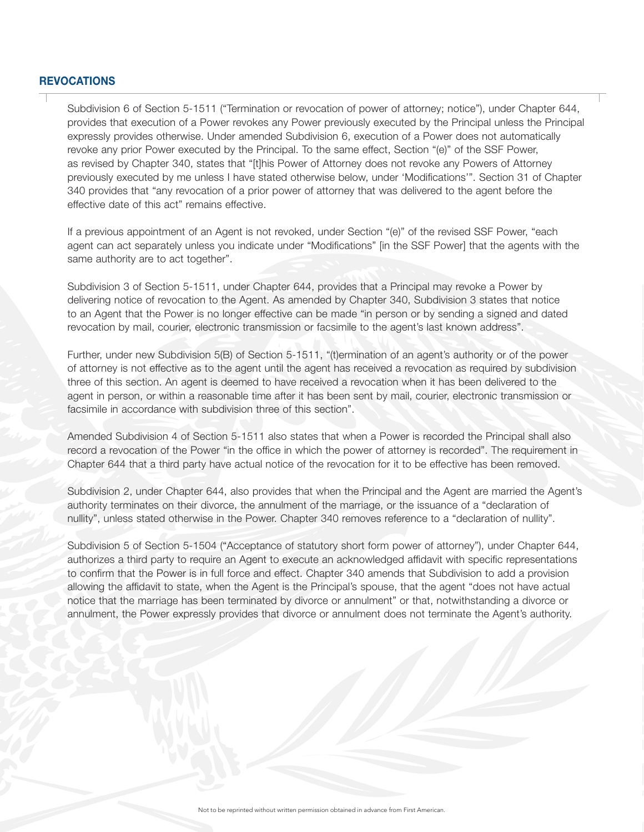#### **REVOCATIONS**

Subdivision 6 of Section 5-1511 ("Termination or revocation of power of attorney; notice"), under Chapter 644, provides that execution of a Power revokes any Power previously executed by the Principal unless the Principal expressly provides otherwise. Under amended Subdivision 6, execution of a Power does not automatically revoke any prior Power executed by the Principal. To the same effect, Section "(e)" of the SSF Power, as revised by Chapter 340, states that "[t]his Power of Attorney does not revoke any Powers of Attorney previously executed by me unless I have stated otherwise below, under 'Modifications'". Section 31 of Chapter 340 provides that "any revocation of a prior power of attorney that was delivered to the agent before the effective date of this act" remains effective.

If a previous appointment of an Agent is not revoked, under Section "(e)" of the revised SSF Power, "each agent can act separately unless you indicate under "Modifications" [in the SSF Power] that the agents with the same authority are to act together".

Subdivision 3 of Section 5-1511, under Chapter 644, provides that a Principal may revoke a Power by delivering notice of revocation to the Agent. As amended by Chapter 340, Subdivision 3 states that notice to an Agent that the Power is no longer effective can be made "in person or by sending a signed and dated revocation by mail, courier, electronic transmission or facsimile to the agent's last known address".

Further, under new Subdivision 5(B) of Section 5-1511, "(t)ermination of an agent's authority or of the power of attorney is not effective as to the agent until the agent has received a revocation as required by subdivision three of this section. An agent is deemed to have received a revocation when it has been delivered to the agent in person, or within a reasonable time after it has been sent by mail, courier, electronic transmission or facsimile in accordance with subdivision three of this section".

Amended Subdivision 4 of Section 5-1511 also states that when a Power is recorded the Principal shall also record a revocation of the Power "in the office in which the power of attorney is recorded". The requirement in Chapter 644 that a third party have actual notice of the revocation for it to be effective has been removed.

Subdivision 2, under Chapter 644, also provides that when the Principal and the Agent are married the Agent's authority terminates on their divorce, the annulment of the marriage, or the issuance of a "declaration of nullity", unless stated otherwise in the Power. Chapter 340 removes reference to a "declaration of nullity".

Subdivision 5 of Section 5-1504 ("Acceptance of statutory short form power of attorney"), under Chapter 644, authorizes a third party to require an Agent to execute an acknowledged affidavit with specific representations to confirm that the Power is in full force and effect. Chapter 340 amends that Subdivision to add a provision allowing the affidavit to state, when the Agent is the Principal's spouse, that the agent "does not have actual notice that the marriage has been terminated by divorce or annulment" or that, notwithstanding a divorce or annulment, the Power expressly provides that divorce or annulment does not terminate the Agent's authority.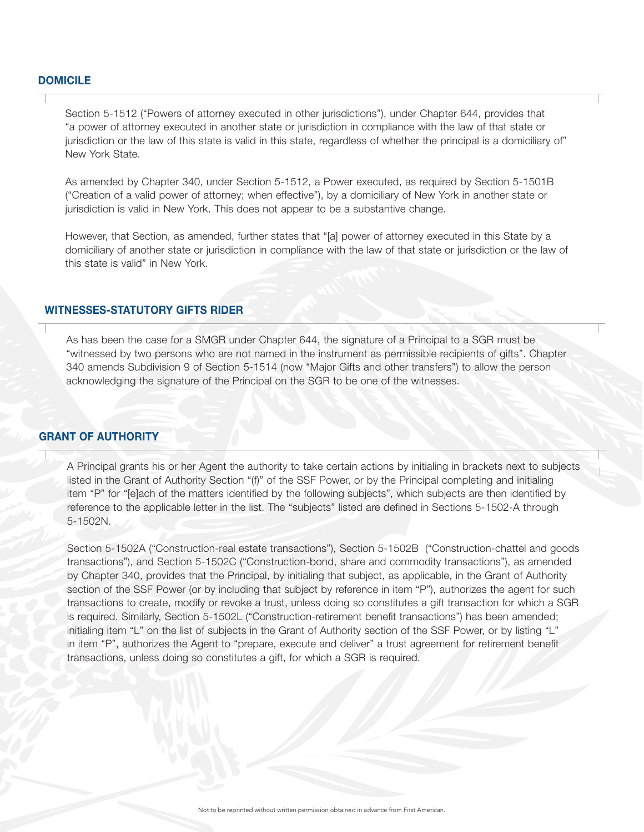#### DOMICILE

Section 5-1512 ("Powers of attorney executed in other jurisdictions"), under Chapter 644, provides that "a power of attorney executed in another state or jurisdiction in compliance with the law of that state or jurisdiction or the law of this state is valid in this state, regardless of whether the principal is a domiciliary of" New York State.

As amended by Chapter 340, under Section 5-1512, a Power executed, as required by Section 5-1501B ("Creation of a valid power of attorney; when effective"), by a domiciliary of New York in another state or jurisdiction is valid in New York. This does not appear to be a substantive change.

However, that Section, as amended, further states that "[a] power of attorney executed in this State by a domiciliary of another state or jurisdiction in compliance with the law of that state or jurisdiction or the law of this state is valid" in New York.

#### WITNESSES-STATUTORY GIFTS RIDER

As has been the case for a SMGR under Chapter 644, the signature of a Principal to a SGR must be "witnessed by two persons who are not named in the instrument as permissible recipients of gifts". Chapter 340 amends Subdivision 9 of Section 5-1514 (now "Major Gifts and other transfers") to allow the person acknowledging the signature of the Principal on the SGR to be one of the witnesses.

#### GRANT OF AUTHORITY

A Principal grants his or her Agent the authority to take certain actions by initialing in brackets next to subjects listed in the Grant of Authority Section "(f)" of the SSF Power, or by the Principal completing and initialing item "P" for "[e]ach of the matters identified by the following subjects", which subjects are then identified by reference to the applicable letter in the list. The "subjects" listed are defined in Sections 5-1502-A through 5-1502N.

Section 5-1502A ("Construction-real estate transactions"), Section 5-1502B ("Construction-chattel and goods transactions"), and Section 5-1502C ("Construction-bond, share and commodity transactions"), as amended by Chapter 340, provides that the Principal, by initialing that subject, as applicable, in the Grant of Authority section of the SSF Power (or by including that subject by reference in item "P"), authorizes the agent for such transactions to create, modify or revoke a trust, unless doing so constitutes a gift transaction for which a SGR is required. Similarly, Section 5-1502L ("Construction-retirement benefit transactions") has been amended; initialing item "L" on the list of subjects in the Grant of Authority section of the SSF Power, or by listing "L" in item "P", authorizes the Agent to "prepare, execute and deliver" a trust agreement for retirement benefit transactions, unless doing so constitutes a gift, for which a SGR is required.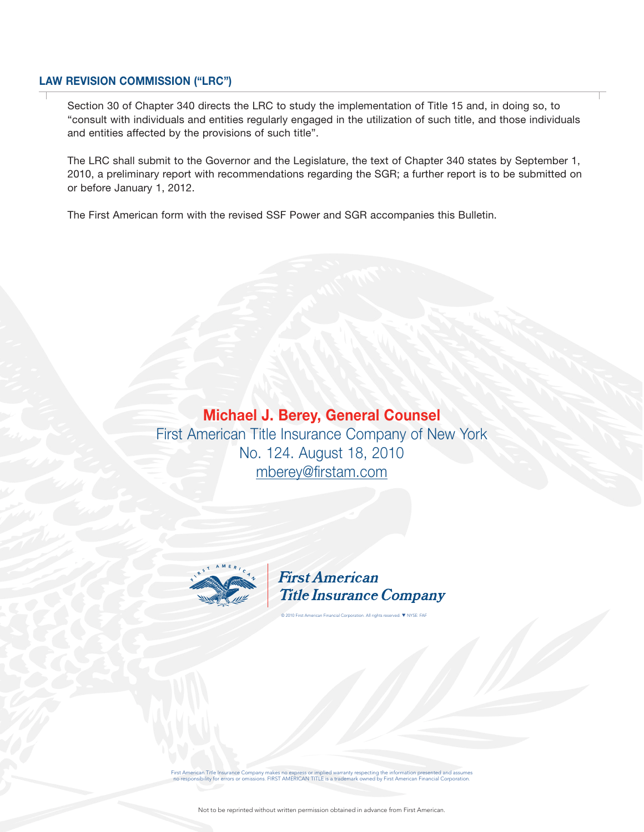#### LAW REVISION COMMISSION ("LRC")

Section 30 of Chapter 340 directs the LRC to study the implementation of Title 15 and, in doing so, to "consult with individuals and entities regularly engaged in the utilization of such title, and those individuals and entities affected by the provisions of such title".

The LRC shall submit to the Governor and the Legislature, the text of Chapter 340 states by September 1, 2010, a preliminary report with recommendations regarding the SGR; a further report is to be submitted on or before January 1, 2012.

The First American form with the revised SSF Power and SGR accompanies this Bulletin.

Michael J. Berey, General Counsel First American Title Insurance Company of New York No. 124. August 18, 2010 mberey@firstam.com



**First American Title Insurance Company** 

© 2010 First American Financial Corporation. All rights reserved. ▼ NYSE: FAF

First American Title Insurance Company makes no express or implied warranty respecting the information presented and assumes nance no express or implied to<br>FIRST AMERICAN TITLE is a trademark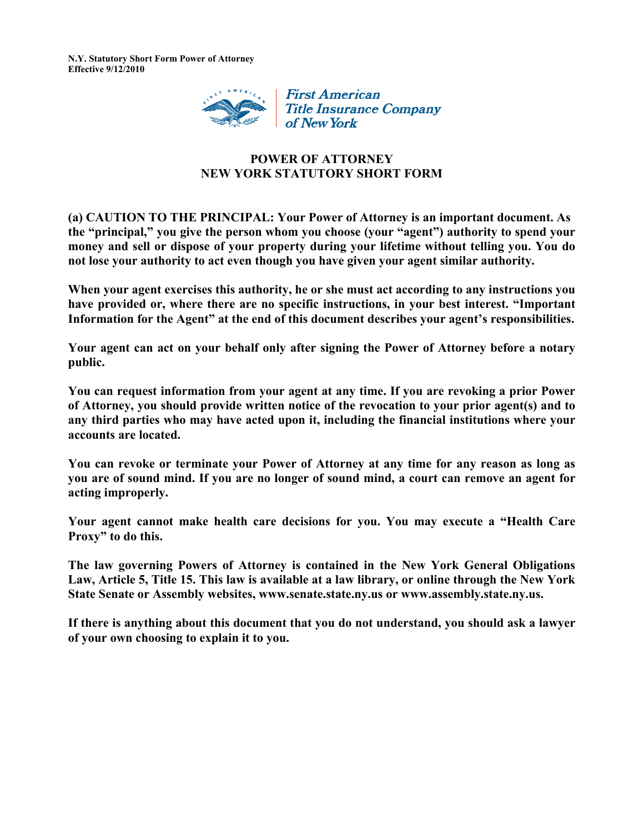

## **POWER OF ATTORNEY NEW YORK STATUTORY SHORT FORM**

**(a) CAUTION TO THE PRINCIPAL: Your Power of Attorney is an important document. As the "principal," you give the person whom you choose (your "agent") authority to spend your money and sell or dispose of your property during your lifetime without telling you. You do not lose your authority to act even though you have given your agent similar authority.** 

**When your agent exercises this authority, he or she must act according to any instructions you have provided or, where there are no specific instructions, in your best interest. "Important Information for the Agent" at the end of this document describes your agent's responsibilities.** 

**Your agent can act on your behalf only after signing the Power of Attorney before a notary public.** 

**You can request information from your agent at any time. If you are revoking a prior Power of Attorney, you should provide written notice of the revocation to your prior agent(s) and to any third parties who may have acted upon it, including the financial institutions where your accounts are located.** 

**You can revoke or terminate your Power of Attorney at any time for any reason as long as you are of sound mind. If you are no longer of sound mind, a court can remove an agent for acting improperly.** 

**Your agent cannot make health care decisions for you. You may execute a "Health Care Proxy" to do this.** 

**The law governing Powers of Attorney is contained in the New York General Obligations Law, Article 5, Title 15. This law is available at a law library, or online through the New York State Senate or Assembly websites, www.senate.state.ny.us or www.assembly.state.ny.us.** 

**If there is anything about this document that you do not understand, you should ask a lawyer of your own choosing to explain it to you.**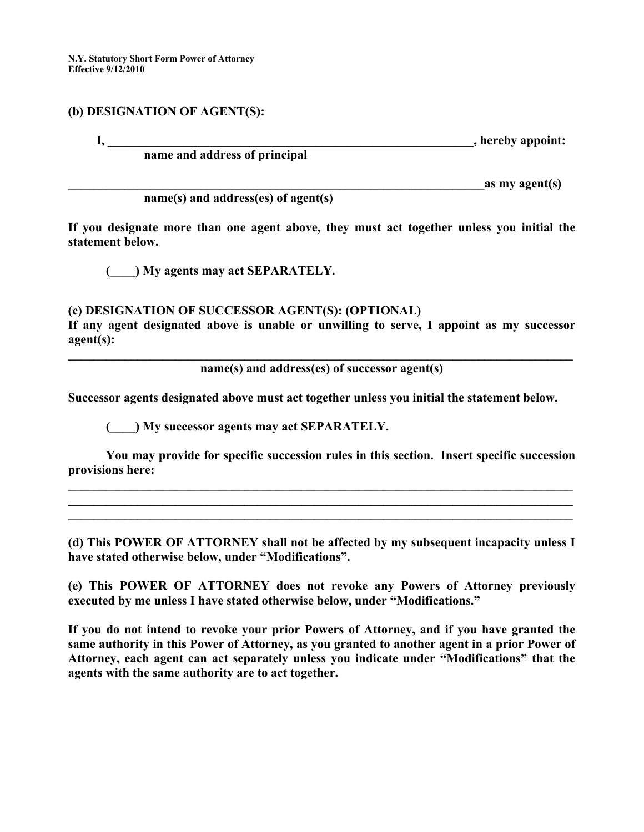#### **(b) DESIGNATION OF AGENT(S):**

**I**, **hereby appoint:** 

## **name and address of principal**

 $\overline{a}$  as my agent(s)

**name(s) and address(es) of agent(s)** 

**If you designate more than one agent above, they must act together unless you initial the statement below.** 

**(\_\_\_\_) My agents may act SEPARATELY.** 

#### **(c) DESIGNATION OF SUCCESSOR AGENT(S): (OPTIONAL)**

**If any agent designated above is unable or unwilling to serve, I appoint as my successor agent(s):** 

**\_\_\_\_\_\_\_\_\_\_\_\_\_\_\_\_\_\_\_\_\_\_\_\_\_\_\_\_\_\_\_\_\_\_\_\_\_\_\_\_\_\_\_\_\_\_\_\_\_\_\_\_\_\_\_\_\_\_\_\_\_\_\_\_\_\_\_\_\_\_\_\_\_\_\_\_\_\_\_\_ name(s) and address(es) of successor agent(s)** 

**Successor agents designated above must act together unless you initial the statement below.** 

**(\_\_\_\_) My successor agents may act SEPARATELY.** 

**You may provide for specific succession rules in this section. Insert specific succession provisions here:** 

**\_\_\_\_\_\_\_\_\_\_\_\_\_\_\_\_\_\_\_\_\_\_\_\_\_\_\_\_\_\_\_\_\_\_\_\_\_\_\_\_\_\_\_\_\_\_\_\_\_\_\_\_\_\_\_\_\_\_\_\_\_\_\_\_\_\_\_\_\_\_\_\_\_\_\_\_\_\_\_\_ \_\_\_\_\_\_\_\_\_\_\_\_\_\_\_\_\_\_\_\_\_\_\_\_\_\_\_\_\_\_\_\_\_\_\_\_\_\_\_\_\_\_\_\_\_\_\_\_\_\_\_\_\_\_\_\_\_\_\_\_\_\_\_\_\_\_\_\_\_\_\_\_\_\_\_\_\_\_\_\_ \_\_\_\_\_\_\_\_\_\_\_\_\_\_\_\_\_\_\_\_\_\_\_\_\_\_\_\_\_\_\_\_\_\_\_\_\_\_\_\_\_\_\_\_\_\_\_\_\_\_\_\_\_\_\_\_\_\_\_\_\_\_\_\_\_\_\_\_\_\_\_\_\_\_\_\_\_\_\_\_** 

**(d) This POWER OF ATTORNEY shall not be affected by my subsequent incapacity unless I have stated otherwise below, under "Modifications".** 

**(e) This POWER OF ATTORNEY does not revoke any Powers of Attorney previously executed by me unless I have stated otherwise below, under "Modifications."** 

**If you do not intend to revoke your prior Powers of Attorney, and if you have granted the same authority in this Power of Attorney, as you granted to another agent in a prior Power of Attorney, each agent can act separately unless you indicate under "Modifications" that the agents with the same authority are to act together.**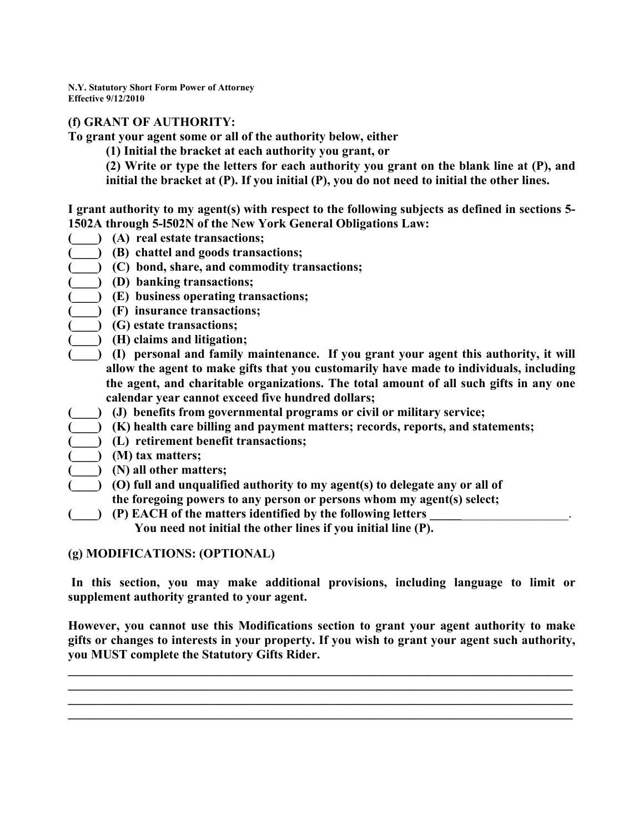## **(f) GRANT OF AUTHORITY:**

**To grant your agent some or all of the authority below, either** 

**(1) Initial the bracket at each authority you grant, or** 

**(2) Write or type the letters for each authority you grant on the blank line at (P), and initial the bracket at (P). If you initial (P), you do not need to initial the other lines.** 

**I grant authority to my agent(s) with respect to the following subjects as defined in sections 5- 1502A through 5-l502N of the New York General Obligations Law:** 

- **(\_\_\_\_) (A) real estate transactions;**
- **(\_\_\_\_) (B) chattel and goods transactions;**
- **(\_\_\_\_) (C) bond, share, and commodity transactions;**
- **(\_\_\_\_) (D) banking transactions;** 
	- **(\_\_\_\_) (E) business operating transactions;**
- **(\_\_\_\_) (F) insurance transactions;**
- **(\_\_\_\_) (G) estate transactions;**
- **(\_\_\_\_) (H) claims and litigation;**
- **(\_\_\_\_) (I) personal and family maintenance. If you grant your agent this authority, it will allow the agent to make gifts that you customarily have made to individuals, including the agent, and charitable organizations. The total amount of all such gifts in any one calendar year cannot exceed five hundred dollars;**
- **(\_\_\_\_) (J) benefits from governmental programs or civil or military service;**
- **(\_\_\_\_) (K) health care billing and payment matters; records, reports, and statements;**
- **(\_\_\_\_) (L) retirement benefit transactions;**
- **(\_\_\_\_) (M) tax matters;**
- **(\_\_\_\_) (N) all other matters;** 
	- **(\_\_\_\_) (O) full and unqualified authority to my agent(s) to delegate any or all of**
	- **the foregoing powers to any person or persons whom my agent(s) select;**
- **(\_\_\_\_) (P) EACH of the matters identified by the following letters \_\_\_\_\_**\_\_\_\_\_\_\_\_\_\_\_\_\_\_\_\_\_.

 **You need not initial the other lines if you initial line (P).** 

#### **(g) MODIFICATIONS: (OPTIONAL)**

 **In this section, you may make additional provisions, including language to limit or supplement authority granted to your agent.** 

**However, you cannot use this Modifications section to grant your agent authority to make gifts or changes to interests in your property. If you wish to grant your agent such authority, you MUST complete the Statutory Gifts Rider.** 

**\_\_\_\_\_\_\_\_\_\_\_\_\_\_\_\_\_\_\_\_\_\_\_\_\_\_\_\_\_\_\_\_\_\_\_\_\_\_\_\_\_\_\_\_\_\_\_\_\_\_\_\_\_\_\_\_\_\_\_\_\_\_\_\_\_\_\_\_\_\_\_\_\_\_\_\_\_\_\_\_ \_\_\_\_\_\_\_\_\_\_\_\_\_\_\_\_\_\_\_\_\_\_\_\_\_\_\_\_\_\_\_\_\_\_\_\_\_\_\_\_\_\_\_\_\_\_\_\_\_\_\_\_\_\_\_\_\_\_\_\_\_\_\_\_\_\_\_\_\_\_\_\_\_\_\_\_\_\_\_\_ \_\_\_\_\_\_\_\_\_\_\_\_\_\_\_\_\_\_\_\_\_\_\_\_\_\_\_\_\_\_\_\_\_\_\_\_\_\_\_\_\_\_\_\_\_\_\_\_\_\_\_\_\_\_\_\_\_\_\_\_\_\_\_\_\_\_\_\_\_\_\_\_\_\_\_\_\_\_\_\_**  $\mathcal{L} = \{ \mathcal{L} \mathcal{L} \mathcal{L} \mathcal{L} \mathcal{L} \mathcal{L} \mathcal{L} \mathcal{L} \mathcal{L} \mathcal{L} \mathcal{L} \mathcal{L} \mathcal{L} \mathcal{L} \mathcal{L} \mathcal{L} \mathcal{L} \mathcal{L} \mathcal{L} \mathcal{L} \mathcal{L} \mathcal{L} \mathcal{L} \mathcal{L} \mathcal{L} \mathcal{L} \mathcal{L} \mathcal{L} \mathcal{L} \mathcal{L} \mathcal{L} \mathcal{L} \mathcal{L} \mathcal{L} \mathcal{L} \$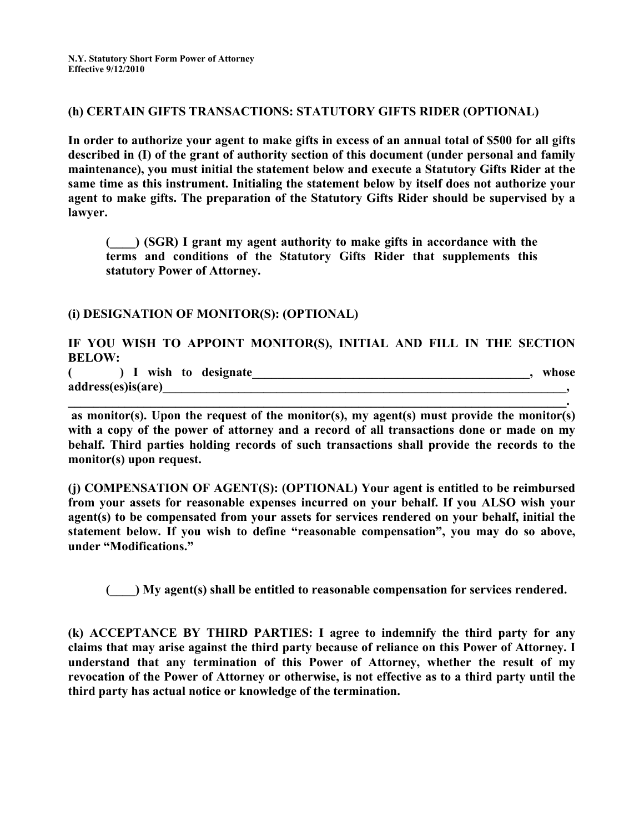#### **(h) CERTAIN GIFTS TRANSACTIONS: STATUTORY GIFTS RIDER (OPTIONAL)**

**In order to authorize your agent to make gifts in excess of an annual total of \$500 for all gifts described in (I) of the grant of authority section of this document (under personal and family maintenance), you must initial the statement below and execute a Statutory Gifts Rider at the same time as this instrument. Initialing the statement below by itself does not authorize your agent to make gifts. The preparation of the Statutory Gifts Rider should be supervised by a lawyer.** 

**(\_\_\_\_) (SGR) I grant my agent authority to make gifts in accordance with the terms and conditions of the Statutory Gifts Rider that supplements this statutory Power of Attorney.** 

#### **(i) DESIGNATION OF MONITOR(S): (OPTIONAL)**

**IF YOU WISH TO APPOINT MONITOR(S), INITIAL AND FILL IN THE SECTION BELOW:** 

**( ) I wish to designate\_\_\_\_\_\_\_\_\_\_\_\_\_\_\_\_\_\_\_\_\_\_\_\_\_\_\_\_\_\_\_\_\_\_\_\_\_\_\_\_\_\_\_\_, whose address(es)is(are)\_\_\_\_\_\_\_\_\_\_\_\_\_\_\_\_\_\_\_\_\_\_\_\_\_\_\_\_\_\_\_\_\_\_\_\_\_\_\_\_\_\_\_\_\_\_\_\_\_\_\_\_\_\_\_\_\_\_\_\_\_\_\_\_,** 

 **as monitor(s). Upon the request of the monitor(s), my agent(s) must provide the monitor(s) with a copy of the power of attorney and a record of all transactions done or made on my behalf. Third parties holding records of such transactions shall provide the records to the monitor(s) upon request.** 

**\_\_\_\_\_\_\_\_\_\_\_\_\_\_\_\_\_\_\_\_\_\_\_\_\_\_\_\_\_\_\_\_\_\_\_\_\_\_\_\_\_\_\_\_\_\_\_\_\_\_\_\_\_\_\_\_\_\_\_\_\_\_\_\_\_\_\_\_\_\_\_\_\_\_\_\_\_\_\_.** 

**(j) COMPENSATION OF AGENT(S): (OPTIONAL) Your agent is entitled to be reimbursed from your assets for reasonable expenses incurred on your behalf. If you ALSO wish your agent(s) to be compensated from your assets for services rendered on your behalf, initial the statement below. If you wish to define "reasonable compensation", you may do so above, under "Modifications."** 

**(\_\_\_\_) My agent(s) shall be entitled to reasonable compensation for services rendered.** 

**(k) ACCEPTANCE BY THIRD PARTIES: I agree to indemnify the third party for any claims that may arise against the third party because of reliance on this Power of Attorney. I understand that any termination of this Power of Attorney, whether the result of my revocation of the Power of Attorney or otherwise, is not effective as to a third party until the third party has actual notice or knowledge of the termination.**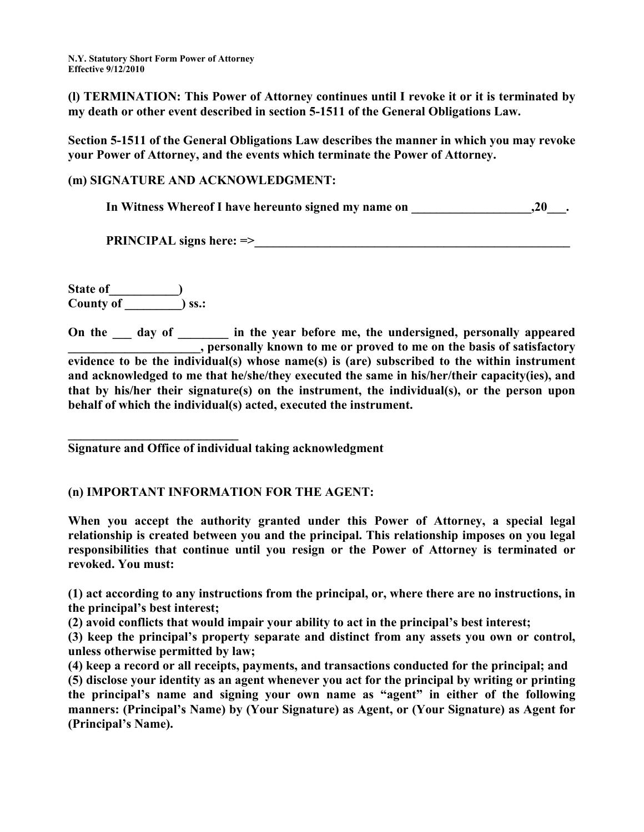**(l) TERMINATION: This Power of Attorney continues until I revoke it or it is terminated by my death or other event described in section 5-1511 of the General Obligations Law.** 

**Section 5-1511 of the General Obligations Law describes the manner in which you may revoke your Power of Attorney, and the events which terminate the Power of Attorney.** 

## **(m) SIGNATURE AND ACKNOWLEDGMENT:**

In Witness Whereof I have hereunto signed my name on \_\_\_\_\_\_\_\_\_\_\_\_\_\_\_\_\_\_\_\_,20\_\_\_.

**PRINCIPAL signs here: =>\_\_\_\_\_\_\_\_\_\_\_\_\_\_\_\_\_\_\_\_\_\_\_\_\_\_\_\_\_\_\_\_\_\_\_\_\_\_\_\_\_\_\_\_\_\_\_\_\_\_** 

State of **the state**  $\left( \begin{array}{ccc} 0 & 0 & 0 \\ 0 & 0 & 0 \\ 0 & 0 & 0 \\ 0 & 0 & 0 \\ 0 & 0 & 0 \\ 0 & 0 & 0 \\ 0 & 0 & 0 \\ 0 & 0 & 0 \\ 0 & 0 & 0 \\ 0 & 0 & 0 \\ 0 & 0 & 0 \\ 0 & 0 & 0 \\ 0 & 0 & 0 \\ 0 & 0 & 0 & 0 \\ 0 & 0 & 0 & 0 \\ 0 & 0 & 0 & 0 \\ 0 & 0 & 0 & 0 \\ 0 & 0 & 0 & 0 \\ 0 & 0 & 0 & 0 \\$ **County of \_\_\_\_\_\_\_\_\_) ss.:** 

**On the \_\_\_ day of \_\_\_\_\_\_\_\_ in the year before me, the undersigned, personally appeared All the set of set of set of set of set of set of set of satisfactory**  $\overline{\phantom{a}}$ , personally known to me or proved to me on the basis of satisfactory **evidence to be the individual(s) whose name(s) is (are) subscribed to the within instrument and acknowledged to me that he/she/they executed the same in his/her/their capacity(ies), and that by his/her their signature(s) on the instrument, the individual(s), or the person upon behalf of which the individual(s) acted, executed the instrument.** 

**\_\_\_\_\_\_\_\_\_\_\_\_\_\_\_\_\_\_\_\_\_\_\_\_\_\_\_ Signature and Office of individual taking acknowledgment** 

## **(n) IMPORTANT INFORMATION FOR THE AGENT:**

**When you accept the authority granted under this Power of Attorney, a special legal relationship is created between you and the principal. This relationship imposes on you legal responsibilities that continue until you resign or the Power of Attorney is terminated or revoked. You must:** 

**(1) act according to any instructions from the principal, or, where there are no instructions, in the principal's best interest;** 

**(2) avoid conflicts that would impair your ability to act in the principal's best interest;** 

**(3) keep the principal's property separate and distinct from any assets you own or control, unless otherwise permitted by law;** 

**(4) keep a record or all receipts, payments, and transactions conducted for the principal; and** 

**(5) disclose your identity as an agent whenever you act for the principal by writing or printing the principal's name and signing your own name as "agent" in either of the following manners: (Principal's Name) by (Your Signature) as Agent, or (Your Signature) as Agent for (Principal's Name).**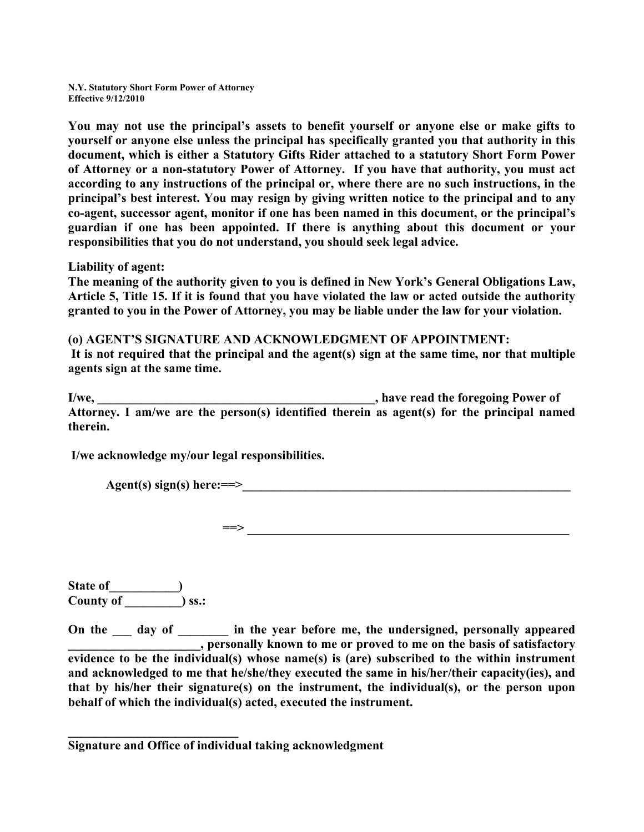**You may not use the principal's assets to benefit yourself or anyone else or make gifts to yourself or anyone else unless the principal has specifically granted you that authority in this document, which is either a Statutory Gifts Rider attached to a statutory Short Form Power of Attorney or a non-statutory Power of Attorney. If you have that authority, you must act according to any instructions of the principal or, where there are no such instructions, in the principal's best interest. You may resign by giving written notice to the principal and to any co-agent, successor agent, monitor if one has been named in this document, or the principal's guardian if one has been appointed. If there is anything about this document or your responsibilities that you do not understand, you should seek legal advice.** 

**Liability of agent:** 

**The meaning of the authority given to you is defined in New York's General Obligations Law, Article 5, Title 15. If it is found that you have violated the law or acted outside the authority granted to you in the Power of Attorney, you may be liable under the law for your violation.** 

**(o) AGENT'S SIGNATURE AND ACKNOWLEDGMENT OF APPOINTMENT:** 

 **It is not required that the principal and the agent(s) sign at the same time, nor that multiple agents sign at the same time.** 

**I/we, I/we,** *I/we,* **<b>***I/we, C I/we, C C <i>C C <i>C C C C C C C C C C C C C C C C C C C C C C C C* **Attorney. I am/we are the person(s) identified therein as agent(s) for the principal named therein.** 

 **I/we acknowledge my/our legal responsibilities.** 

 $Agent(s) sign(s) here: ==>$ 

**==>** \_\_\_\_\_\_\_\_\_\_\_\_\_\_\_\_\_\_\_\_\_\_\_\_\_\_\_\_\_\_\_\_\_\_\_\_\_\_\_\_\_\_\_\_\_\_\_\_\_\_\_

**State of\_\_\_\_\_\_\_\_\_\_\_) County of \_\_\_\_\_\_\_\_\_) ss.:** 

**\_\_\_\_\_\_\_\_\_\_\_\_\_\_\_\_\_\_\_\_\_\_\_\_\_\_\_** 

On the <u>section</u> day of <u>section in the year before me, the undersigned, personally appeared</u> **\_\_\_\_\_\_\_\_\_\_\_\_\_\_\_\_\_\_\_\_\_, personally known to me or proved to me on the basis of satisfactory evidence to be the individual(s) whose name(s) is (are) subscribed to the within instrument and acknowledged to me that he/she/they executed the same in his/her/their capacity(ies), and that by his/her their signature(s) on the instrument, the individual(s), or the person upon behalf of which the individual(s) acted, executed the instrument.** 

**Signature and Office of individual taking acknowledgment**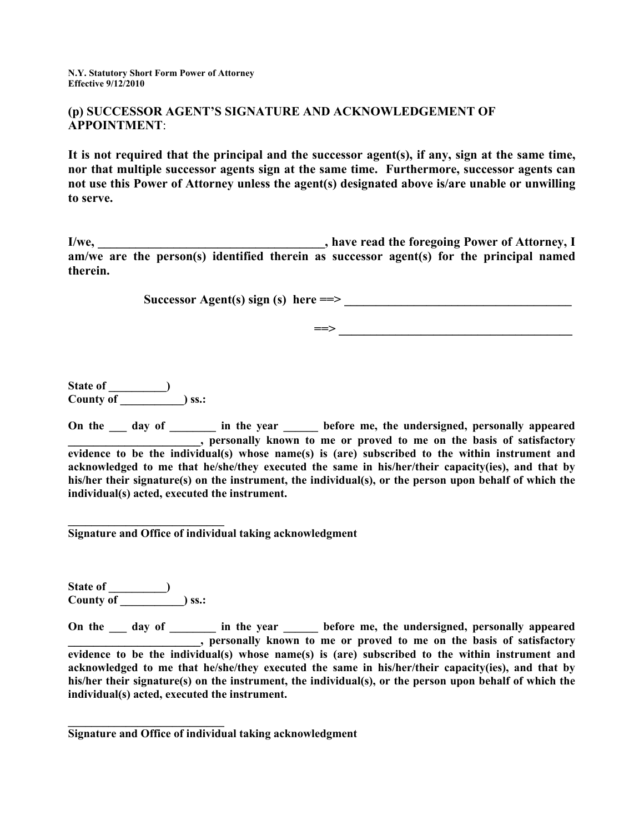#### **(p) SUCCESSOR AGENT'S SIGNATURE AND ACKNOWLEDGEMENT OF APPOINTMENT**:

**It is not required that the principal and the successor agent(s), if any, sign at the same time, nor that multiple successor agents sign at the same time. Furthermore, successor agents can not use this Power of Attorney unless the agent(s) designated above is/are unable or unwilling to serve.** 

**I/we, \_\_\_\_\_\_\_\_\_\_\_\_\_\_\_\_\_\_\_\_\_\_\_\_\_\_\_\_\_\_\_\_\_\_\_\_, have read the foregoing Power of Attorney, I am/we are the person(s) identified therein as successor agent(s) for the principal named therein.** 

 $Successor Agent(s) sign(s) here ==>$ 

 **==> \_\_\_\_\_\_\_\_\_\_\_\_\_\_\_\_\_\_\_\_\_\_\_\_\_\_\_\_\_\_\_\_\_\_\_\_\_** 

**State of \_\_\_\_\_\_\_\_\_\_) County of \_\_\_\_\_\_\_\_\_\_\_) ss.:** 

On the <u>same day of succession in the year sector</u> before me, the undersigned, personally appeared **\_\_\_\_\_\_\_\_\_\_\_\_\_\_\_\_\_\_\_\_\_, personally known to me or proved to me on the basis of satisfactory evidence to be the individual(s) whose name(s) is (are) subscribed to the within instrument and acknowledged to me that he/she/they executed the same in his/her/their capacity(ies), and that by his/her their signature(s) on the instrument, the individual(s), or the person upon behalf of which the individual(s) acted, executed the instrument.** 

**Signature and Office of individual taking acknowledgment** 

**State of \_\_\_\_\_\_\_\_\_\_) County of \_\_\_\_\_\_\_\_\_\_\_) ss.:** 

**\_\_\_\_\_\_\_\_\_\_\_\_\_\_\_\_\_\_\_\_\_\_\_\_\_\_\_** 

**\_\_\_\_\_\_\_\_\_\_\_\_\_\_\_\_\_\_\_\_\_\_\_\_\_\_\_** 

On the \_\_\_ day of \_\_\_\_\_\_\_ in the year \_\_\_\_\_ before me, the undersigned, personally appeared **\_\_\_\_\_\_\_\_\_\_\_\_\_\_\_\_\_\_\_\_\_, personally known to me or proved to me on the basis of satisfactory evidence to be the individual(s) whose name(s) is (are) subscribed to the within instrument and acknowledged to me that he/she/they executed the same in his/her/their capacity(ies), and that by his/her their signature(s) on the instrument, the individual(s), or the person upon behalf of which the individual(s) acted, executed the instrument.** 

**Signature and Office of individual taking acknowledgment**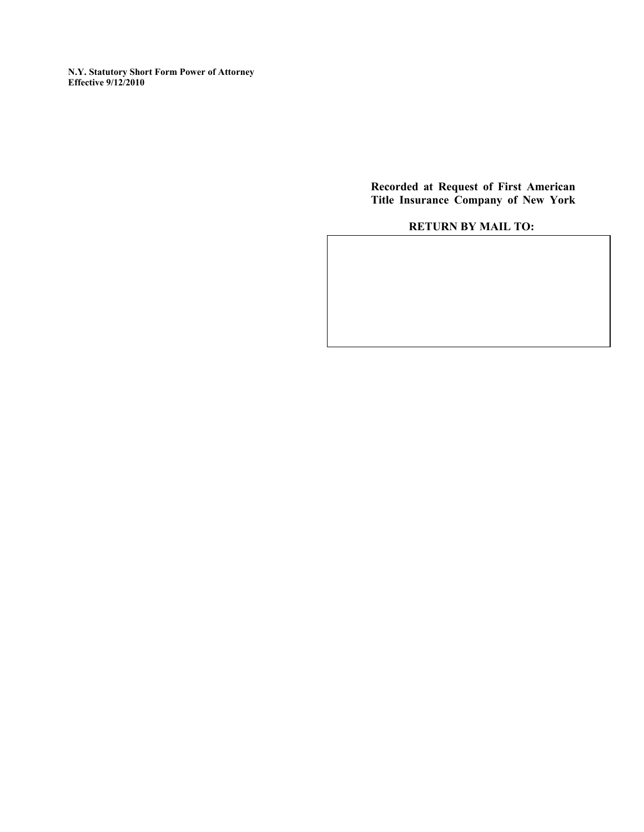> **Recorded at Request of First American Title Insurance Company of New York**

## **RETURN BY MAIL TO:**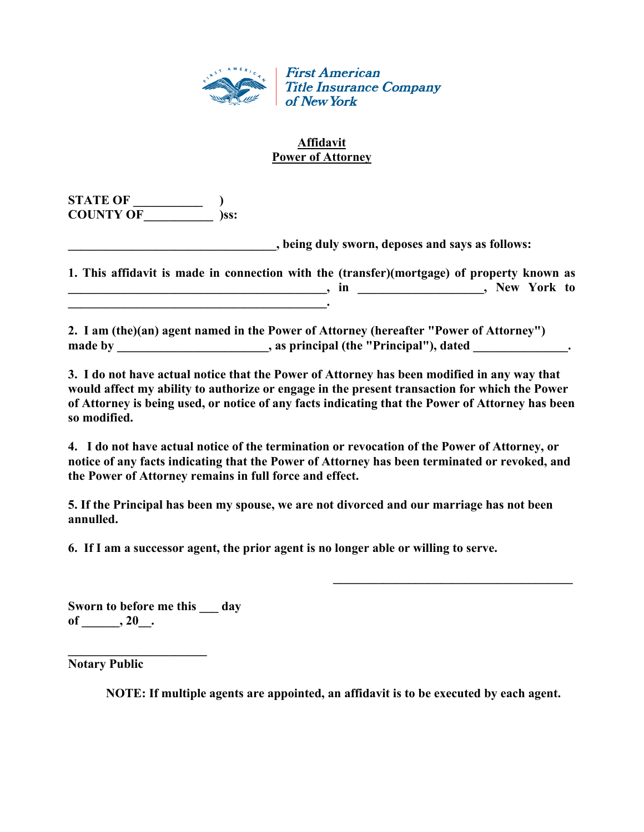

## **Affidavit Power of Attorney**

**STATE OF \_\_\_\_\_\_\_\_\_\_\_ ) COUNTY OF \_\_\_\_\_\_\_\_\_\_\_ )ss:** 

**\_\_\_\_\_\_\_\_\_\_\_\_\_\_\_\_\_\_\_\_\_\_\_\_\_\_\_\_\_\_\_\_\_, being duly sworn, deposes and says as follows:** 

 $\mathcal{L} = \{ \mathcal{L} \mid \mathcal{L} \in \mathcal{L} \}$ 

**1. This affidavit is made in connection with the (transfer)(mortgage) of property known as \_\_\_\_\_\_\_\_\_\_\_\_\_\_\_\_\_\_\_\_\_\_\_\_\_\_\_\_\_\_\_\_\_\_\_\_\_\_\_\_\_, in \_\_\_\_\_\_\_\_\_\_\_\_\_\_\_\_\_\_\_\_, New York to**   $\overline{\phantom{a}}$ 

**2. I am (the)(an) agent named in the Power of Attorney (hereafter "Power of Attorney")**  made by \_\_\_\_\_\_\_\_\_\_\_\_\_\_\_\_\_\_\_\_\_, as principal (the "Principal"), dated \_\_\_\_\_\_\_\_\_\_\_\_\_.

**3. I do not have actual notice that the Power of Attorney has been modified in any way that would affect my ability to authorize or engage in the present transaction for which the Power of Attorney is being used, or notice of any facts indicating that the Power of Attorney has been so modified.** 

**4. I do not have actual notice of the termination or revocation of the Power of Attorney, or notice of any facts indicating that the Power of Attorney has been terminated or revoked, and the Power of Attorney remains in full force and effect.** 

**5. If the Principal has been my spouse, we are not divorced and our marriage has not been annulled.** 

**6. If I am a successor agent, the prior agent is no longer able or willing to serve.** 

**Sworn to before me this \_\_\_ day of \_\_\_\_\_\_, 20\_\_.** 

**\_\_\_\_\_\_\_\_\_\_\_\_\_\_\_\_\_\_\_\_\_\_** 

**Notary Public** 

**NOTE: If multiple agents are appointed, an affidavit is to be executed by each agent.**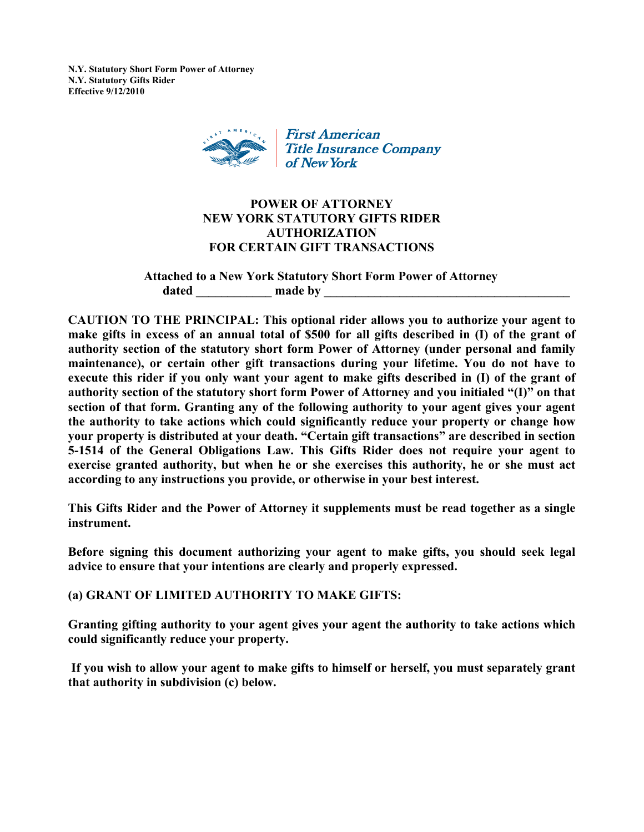**N.Y. Statutory Short Form Power of Attorney N.Y. Statutory Gifts Rider Effective 9/12/2010** 



## **POWER OF ATTORNEY NEW YORK STATUTORY GIFTS RIDER AUTHORIZATION FOR CERTAIN GIFT TRANSACTIONS**

**Attached to a New York Statutory Short Form Power of Attorney**  dated \_\_\_\_\_\_\_\_\_\_\_\_\_\_\_\_\_\_\_ made by

**CAUTION TO THE PRINCIPAL: This optional rider allows you to authorize your agent to make gifts in excess of an annual total of \$500 for all gifts described in (I) of the grant of authority section of the statutory short form Power of Attorney (under personal and family maintenance), or certain other gift transactions during your lifetime. You do not have to execute this rider if you only want your agent to make gifts described in (I) of the grant of authority section of the statutory short form Power of Attorney and you initialed "(I)" on that section of that form. Granting any of the following authority to your agent gives your agent the authority to take actions which could significantly reduce your property or change how your property is distributed at your death. "Certain gift transactions" are described in section 5-1514 of the General Obligations Law. This Gifts Rider does not require your agent to exercise granted authority, but when he or she exercises this authority, he or she must act according to any instructions you provide, or otherwise in your best interest.** 

**This Gifts Rider and the Power of Attorney it supplements must be read together as a single instrument.** 

**Before signing this document authorizing your agent to make gifts, you should seek legal advice to ensure that your intentions are clearly and properly expressed.** 

**(a) GRANT OF LIMITED AUTHORITY TO MAKE GIFTS:** 

**Granting gifting authority to your agent gives your agent the authority to take actions which could significantly reduce your property.** 

 **If you wish to allow your agent to make gifts to himself or herself, you must separately grant that authority in subdivision (c) below.**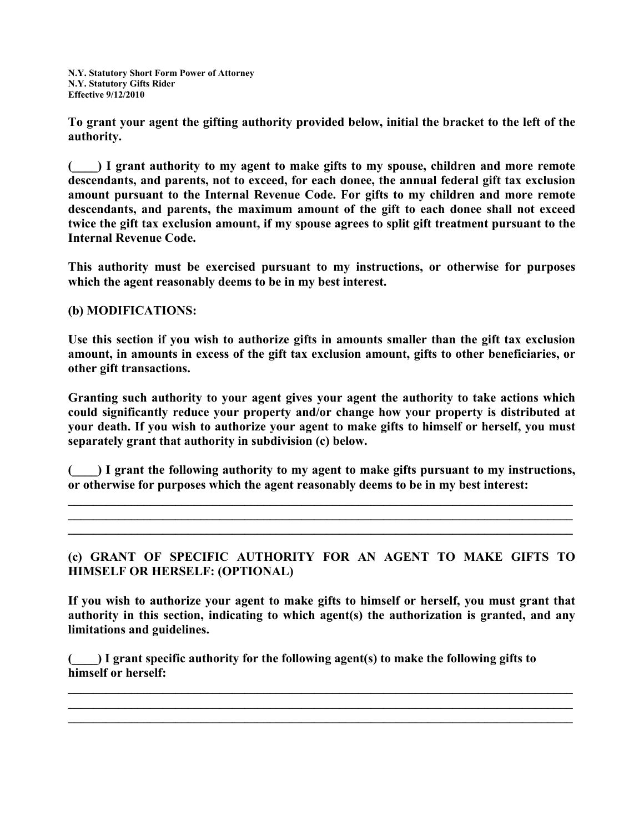**To grant your agent the gifting authority provided below, initial the bracket to the left of the authority.** 

**(\_\_\_\_) I grant authority to my agent to make gifts to my spouse, children and more remote descendants, and parents, not to exceed, for each donee, the annual federal gift tax exclusion amount pursuant to the Internal Revenue Code. For gifts to my children and more remote descendants, and parents, the maximum amount of the gift to each donee shall not exceed twice the gift tax exclusion amount, if my spouse agrees to split gift treatment pursuant to the Internal Revenue Code.** 

**This authority must be exercised pursuant to my instructions, or otherwise for purposes which the agent reasonably deems to be in my best interest.** 

**(b) MODIFICATIONS:** 

**Use this section if you wish to authorize gifts in amounts smaller than the gift tax exclusion amount, in amounts in excess of the gift tax exclusion amount, gifts to other beneficiaries, or other gift transactions.** 

**Granting such authority to your agent gives your agent the authority to take actions which could significantly reduce your property and/or change how your property is distributed at your death. If you wish to authorize your agent to make gifts to himself or herself, you must separately grant that authority in subdivision (c) below.** 

**(\_\_\_\_) I grant the following authority to my agent to make gifts pursuant to my instructions, or otherwise for purposes which the agent reasonably deems to be in my best interest:** 

**\_\_\_\_\_\_\_\_\_\_\_\_\_\_\_\_\_\_\_\_\_\_\_\_\_\_\_\_\_\_\_\_\_\_\_\_\_\_\_\_\_\_\_\_\_\_\_\_\_\_\_\_\_\_\_\_\_\_\_\_\_\_\_\_\_\_\_\_\_\_\_\_\_\_\_\_\_\_\_\_ \_\_\_\_\_\_\_\_\_\_\_\_\_\_\_\_\_\_\_\_\_\_\_\_\_\_\_\_\_\_\_\_\_\_\_\_\_\_\_\_\_\_\_\_\_\_\_\_\_\_\_\_\_\_\_\_\_\_\_\_\_\_\_\_\_\_\_\_\_\_\_\_\_\_\_\_\_\_\_\_ \_\_\_\_\_\_\_\_\_\_\_\_\_\_\_\_\_\_\_\_\_\_\_\_\_\_\_\_\_\_\_\_\_\_\_\_\_\_\_\_\_\_\_\_\_\_\_\_\_\_\_\_\_\_\_\_\_\_\_\_\_\_\_\_\_\_\_\_\_\_\_\_\_\_\_\_\_\_\_\_** 

**(c) GRANT OF SPECIFIC AUTHORITY FOR AN AGENT TO MAKE GIFTS TO HIMSELF OR HERSELF: (OPTIONAL)** 

**If you wish to authorize your agent to make gifts to himself or herself, you must grant that authority in this section, indicating to which agent(s) the authorization is granted, and any limitations and guidelines.** 

 $\mathcal{L}_\mathcal{L} = \{ \mathcal{L}_\mathcal{L} = \{ \mathcal{L}_\mathcal{L} = \{ \mathcal{L}_\mathcal{L} = \{ \mathcal{L}_\mathcal{L} = \{ \mathcal{L}_\mathcal{L} = \{ \mathcal{L}_\mathcal{L} = \{ \mathcal{L}_\mathcal{L} = \{ \mathcal{L}_\mathcal{L} = \{ \mathcal{L}_\mathcal{L} = \{ \mathcal{L}_\mathcal{L} = \{ \mathcal{L}_\mathcal{L} = \{ \mathcal{L}_\mathcal{L} = \{ \mathcal{L}_\mathcal{L} = \{ \mathcal{L}_\mathcal{$ **\_\_\_\_\_\_\_\_\_\_\_\_\_\_\_\_\_\_\_\_\_\_\_\_\_\_\_\_\_\_\_\_\_\_\_\_\_\_\_\_\_\_\_\_\_\_\_\_\_\_\_\_\_\_\_\_\_\_\_\_\_\_\_\_\_\_\_\_\_\_\_\_\_\_\_\_\_\_\_\_ \_\_\_\_\_\_\_\_\_\_\_\_\_\_\_\_\_\_\_\_\_\_\_\_\_\_\_\_\_\_\_\_\_\_\_\_\_\_\_\_\_\_\_\_\_\_\_\_\_\_\_\_\_\_\_\_\_\_\_\_\_\_\_\_\_\_\_\_\_\_\_\_\_\_\_\_\_\_\_\_** 

**(\_\_\_\_) I grant specific authority for the following agent(s) to make the following gifts to himself or herself:**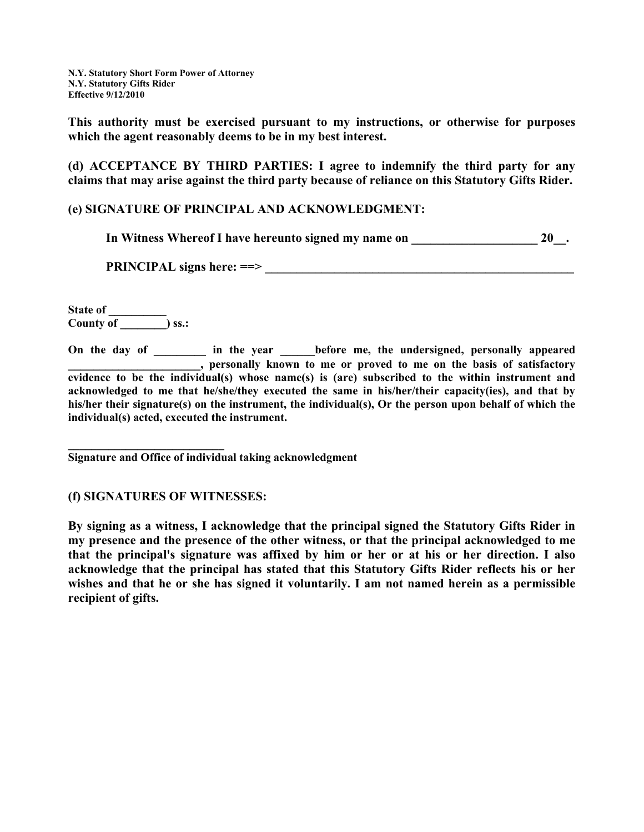**This authority must be exercised pursuant to my instructions, or otherwise for purposes which the agent reasonably deems to be in my best interest.** 

**(d) ACCEPTANCE BY THIRD PARTIES: I agree to indemnify the third party for any claims that may arise against the third party because of reliance on this Statutory Gifts Rider.** 

## **(e) SIGNATURE OF PRINCIPAL AND ACKNOWLEDGMENT:**

|  | In Witness Whereof I have hereunto signed my name on |  | $20$ . |  |
|--|------------------------------------------------------|--|--------|--|
|  |                                                      |  |        |  |

**PRINCIPAL signs here: ==> \_\_\_\_\_\_\_\_\_\_\_\_\_\_\_\_\_\_\_\_\_\_\_\_\_\_\_\_\_\_\_\_\_\_\_\_\_\_\_\_\_\_\_\_\_\_\_\_\_** 

**State of \_\_\_\_\_\_\_\_ County of \_\_\_\_\_\_\_\_) ss.:** 

**On the day of \_\_\_\_\_\_\_\_\_ in the year \_\_\_\_\_\_before me, the undersigned, personally appeared \_\_\_\_\_\_\_\_\_\_\_\_\_\_\_\_\_\_\_\_\_, personally known to me or proved to me on the basis of satisfactory evidence to be the individual(s) whose name(s) is (are) subscribed to the within instrument and acknowledged to me that he/she/they executed the same in his/her/their capacity(ies), and that by his/her their signature(s) on the instrument, the individual(s), Or the person upon behalf of which the individual(s) acted, executed the instrument.** 

**\_\_\_\_\_\_\_\_\_\_\_\_\_\_\_\_\_\_\_\_\_\_\_\_\_\_\_ Signature and Office of individual taking acknowledgment** 

## **(f) SIGNATURES OF WITNESSES:**

**By signing as a witness, I acknowledge that the principal signed the Statutory Gifts Rider in my presence and the presence of the other witness, or that the principal acknowledged to me that the principal's signature was affixed by him or her or at his or her direction. I also acknowledge that the principal has stated that this Statutory Gifts Rider reflects his or her wishes and that he or she has signed it voluntarily. I am not named herein as a permissible recipient of gifts.**